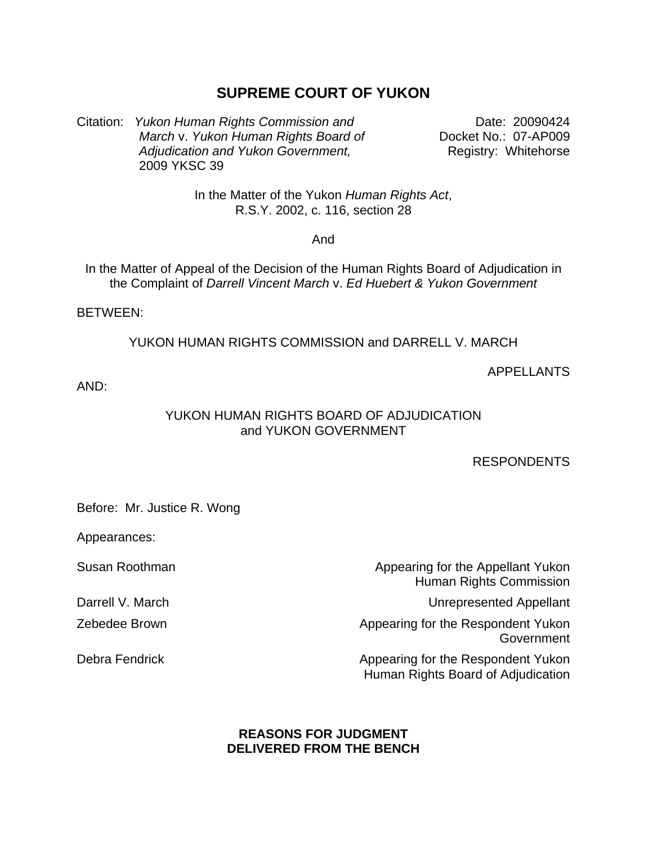# **SUPREME COURT OF YUKON**

Citation: *Yukon Human Rights Commission and* Date: 20090424 *March* v. *Yukon Human Rights Board of Adjudication and Yukon Government,*  2009 YKSC 39

Docket No.: 07-AP009 Registry: Whitehorse

In the Matter of the Yukon *Human Rights Act*, R.S.Y. 2002, c. 116, section 28

And

In the Matter of Appeal of the Decision of the Human Rights Board of Adjudication in the Complaint of *Darrell Vincent March* v. *Ed Huebert & Yukon Government* 

BETWEEN:

YUKON HUMAN RIGHTS COMMISSION and DARRELL V. MARCH

### APPELLANTS

AND:

### YUKON HUMAN RIGHTS BOARD OF ADJUDICATION and YUKON GOVERNMENT

#### RESPONDENTS

Before: Mr. Justice R. Wong

Appearances:

Susan Roothman

Darrell V. March

Zebedee Brown

Debra Fendrick

Appearing for the Appellant Yukon Human Rights Commission Unrepresented Appellant Appearing for the Respondent Yukon **Government** Appearing for the Respondent Yukon Human Rights Board of Adjudication

## **REASONS FOR JUDGMENT DELIVERED FROM THE BENCH**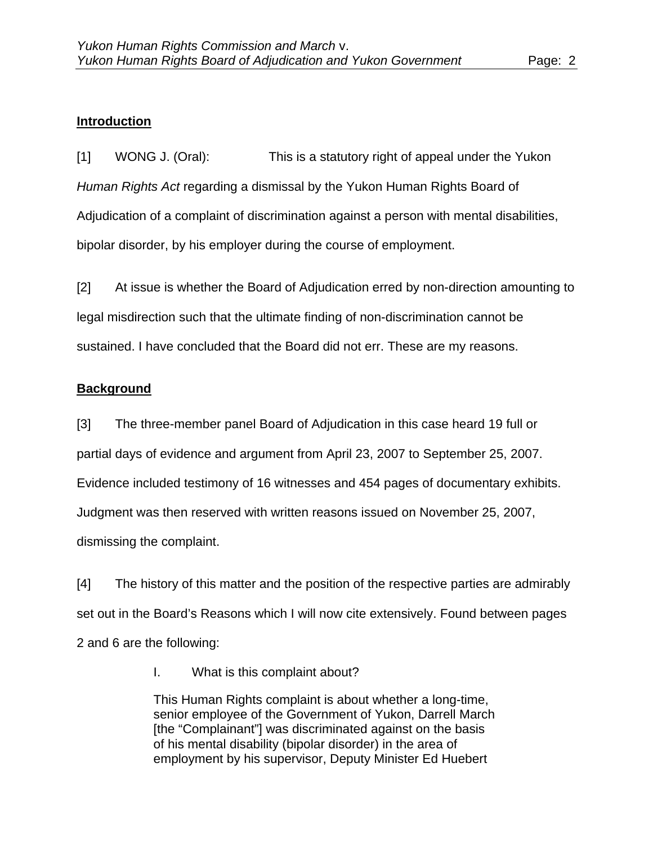# **Introduction**

[1] WONG J. (Oral): This is a statutory right of appeal under the Yukon *Human Rights Act* regarding a dismissal by the Yukon Human Rights Board of Adjudication of a complaint of discrimination against a person with mental disabilities, bipolar disorder, by his employer during the course of employment.

[2] At issue is whether the Board of Adjudication erred by non-direction amounting to legal misdirection such that the ultimate finding of non-discrimination cannot be sustained. I have concluded that the Board did not err. These are my reasons.

# **Background**

[3] The three-member panel Board of Adjudication in this case heard 19 full or partial days of evidence and argument from April 23, 2007 to September 25, 2007. Evidence included testimony of 16 witnesses and 454 pages of documentary exhibits. Judgment was then reserved with written reasons issued on November 25, 2007, dismissing the complaint.

[4] The history of this matter and the position of the respective parties are admirably set out in the Board's Reasons which I will now cite extensively. Found between pages 2 and 6 are the following:

I. What is this complaint about?

This Human Rights complaint is about whether a long-time, senior employee of the Government of Yukon, Darrell March [the "Complainant"] was discriminated against on the basis of his mental disability (bipolar disorder) in the area of employment by his supervisor, Deputy Minister Ed Huebert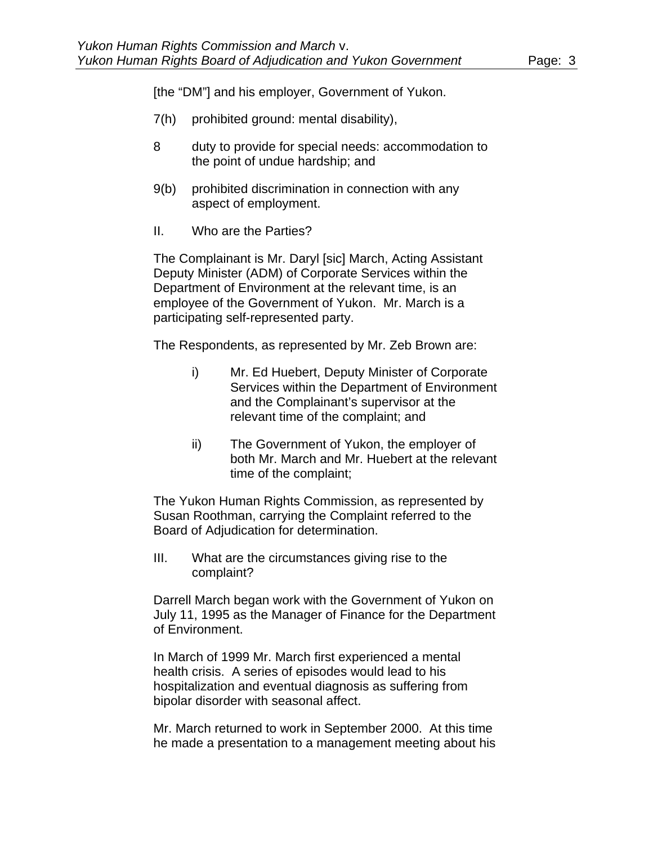[the "DM"] and his employer, Government of Yukon.

- 7(h) prohibited ground: mental disability),
- 8 duty to provide for special needs: accommodation to the point of undue hardship; and
- 9(b) prohibited discrimination in connection with any aspect of employment.
- II. Who are the Parties?

The Complainant is Mr. Daryl [sic] March, Acting Assistant Deputy Minister (ADM) of Corporate Services within the Department of Environment at the relevant time, is an employee of the Government of Yukon. Mr. March is a participating self-represented party.

The Respondents, as represented by Mr. Zeb Brown are:

- i) Mr. Ed Huebert, Deputy Minister of Corporate Services within the Department of Environment and the Complainant's supervisor at the relevant time of the complaint; and
- ii) The Government of Yukon, the employer of both Mr. March and Mr. Huebert at the relevant time of the complaint;

The Yukon Human Rights Commission, as represented by Susan Roothman, carrying the Complaint referred to the Board of Adjudication for determination.

III. What are the circumstances giving rise to the complaint?

Darrell March began work with the Government of Yukon on July 11, 1995 as the Manager of Finance for the Department of Environment.

In March of 1999 Mr. March first experienced a mental health crisis. A series of episodes would lead to his hospitalization and eventual diagnosis as suffering from bipolar disorder with seasonal affect.

Mr. March returned to work in September 2000. At this time he made a presentation to a management meeting about his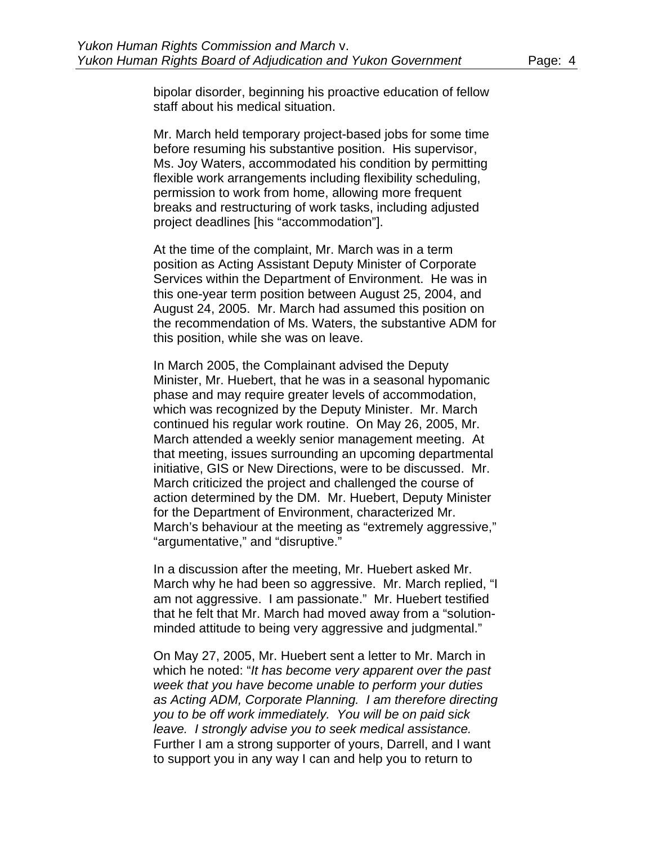bipolar disorder, beginning his proactive education of fellow staff about his medical situation.

Mr. March held temporary project-based jobs for some time before resuming his substantive position. His supervisor, Ms. Joy Waters, accommodated his condition by permitting flexible work arrangements including flexibility scheduling, permission to work from home, allowing more frequent breaks and restructuring of work tasks, including adjusted project deadlines [his "accommodation"].

At the time of the complaint, Mr. March was in a term position as Acting Assistant Deputy Minister of Corporate Services within the Department of Environment. He was in this one-year term position between August 25, 2004, and August 24, 2005. Mr. March had assumed this position on the recommendation of Ms. Waters, the substantive ADM for this position, while she was on leave.

In March 2005, the Complainant advised the Deputy Minister, Mr. Huebert, that he was in a seasonal hypomanic phase and may require greater levels of accommodation, which was recognized by the Deputy Minister. Mr. March continued his regular work routine. On May 26, 2005, Mr. March attended a weekly senior management meeting. At that meeting, issues surrounding an upcoming departmental initiative, GIS or New Directions, were to be discussed. Mr. March criticized the project and challenged the course of action determined by the DM. Mr. Huebert, Deputy Minister for the Department of Environment, characterized Mr. March's behaviour at the meeting as "extremely aggressive," "argumentative," and "disruptive."

In a discussion after the meeting, Mr. Huebert asked Mr. March why he had been so aggressive. Mr. March replied, "I am not aggressive. I am passionate." Mr. Huebert testified that he felt that Mr. March had moved away from a "solutionminded attitude to being very aggressive and judgmental."

On May 27, 2005, Mr. Huebert sent a letter to Mr. March in which he noted: "*It has become very apparent over the past week that you have become unable to perform your duties as Acting ADM, Corporate Planning. I am therefore directing you to be off work immediately. You will be on paid sick leave. I strongly advise you to seek medical assistance.*  Further I am a strong supporter of yours, Darrell, and I want to support you in any way I can and help you to return to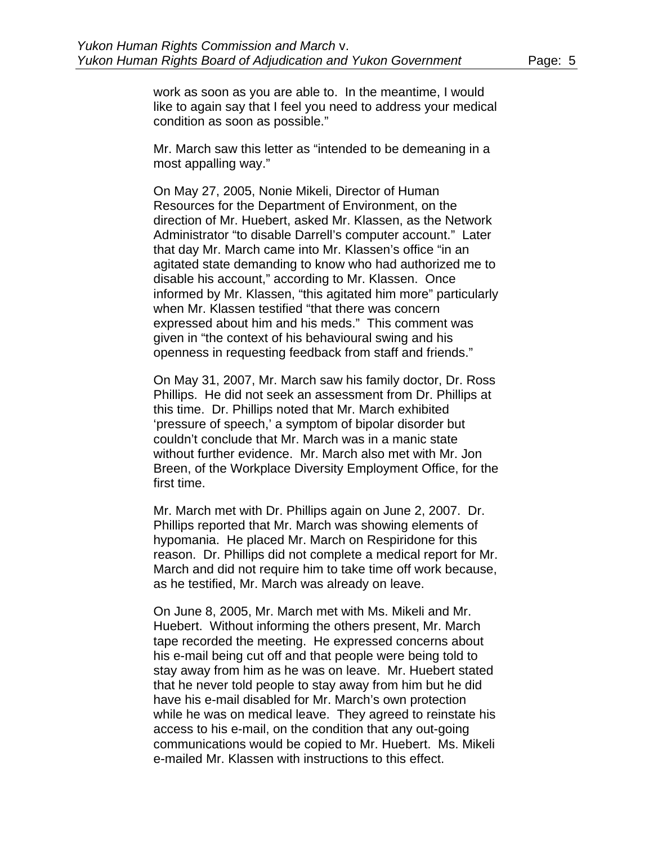work as soon as you are able to. In the meantime, I would like to again say that I feel you need to address your medical condition as soon as possible."

Mr. March saw this letter as "intended to be demeaning in a most appalling way."

On May 27, 2005, Nonie Mikeli, Director of Human Resources for the Department of Environment, on the direction of Mr. Huebert, asked Mr. Klassen, as the Network Administrator "to disable Darrell's computer account." Later that day Mr. March came into Mr. Klassen's office "in an agitated state demanding to know who had authorized me to disable his account," according to Mr. Klassen. Once informed by Mr. Klassen, "this agitated him more" particularly when Mr. Klassen testified "that there was concern expressed about him and his meds." This comment was given in "the context of his behavioural swing and his openness in requesting feedback from staff and friends."

On May 31, 2007, Mr. March saw his family doctor, Dr. Ross Phillips. He did not seek an assessment from Dr. Phillips at this time. Dr. Phillips noted that Mr. March exhibited 'pressure of speech,' a symptom of bipolar disorder but couldn't conclude that Mr. March was in a manic state without further evidence. Mr. March also met with Mr. Jon Breen, of the Workplace Diversity Employment Office, for the first time.

Mr. March met with Dr. Phillips again on June 2, 2007. Dr. Phillips reported that Mr. March was showing elements of hypomania. He placed Mr. March on Respiridone for this reason. Dr. Phillips did not complete a medical report for Mr. March and did not require him to take time off work because, as he testified, Mr. March was already on leave.

On June 8, 2005, Mr. March met with Ms. Mikeli and Mr. Huebert. Without informing the others present, Mr. March tape recorded the meeting. He expressed concerns about his e-mail being cut off and that people were being told to stay away from him as he was on leave. Mr. Huebert stated that he never told people to stay away from him but he did have his e-mail disabled for Mr. March's own protection while he was on medical leave. They agreed to reinstate his access to his e-mail, on the condition that any out-going communications would be copied to Mr. Huebert. Ms. Mikeli e-mailed Mr. Klassen with instructions to this effect.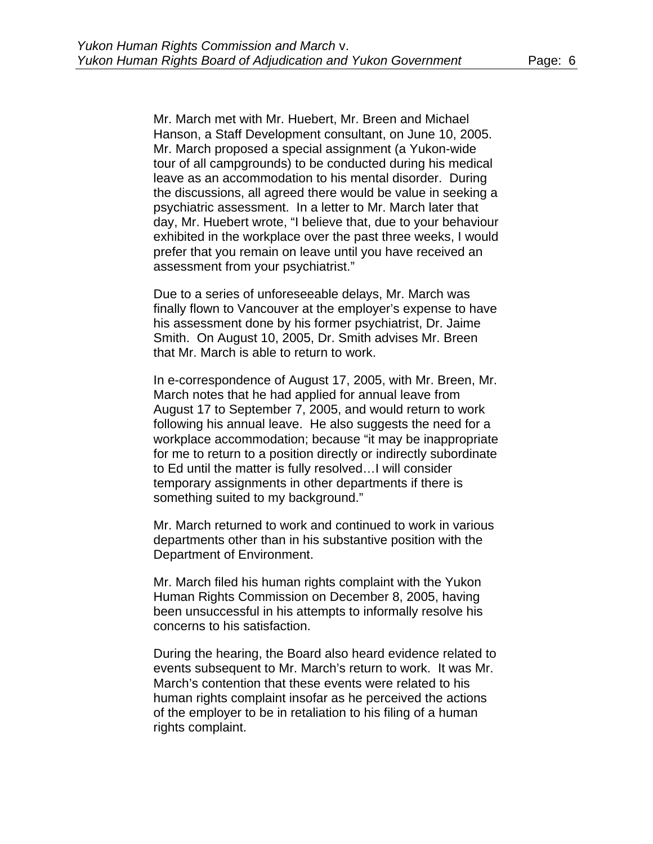Mr. March met with Mr. Huebert, Mr. Breen and Michael Hanson, a Staff Development consultant, on June 10, 2005. Mr. March proposed a special assignment (a Yukon-wide tour of all campgrounds) to be conducted during his medical leave as an accommodation to his mental disorder. During the discussions, all agreed there would be value in seeking a psychiatric assessment. In a letter to Mr. March later that day, Mr. Huebert wrote, "I believe that, due to your behaviour exhibited in the workplace over the past three weeks, I would prefer that you remain on leave until you have received an assessment from your psychiatrist."

Due to a series of unforeseeable delays, Mr. March was finally flown to Vancouver at the employer's expense to have his assessment done by his former psychiatrist, Dr. Jaime Smith. On August 10, 2005, Dr. Smith advises Mr. Breen that Mr. March is able to return to work.

In e-correspondence of August 17, 2005, with Mr. Breen, Mr. March notes that he had applied for annual leave from August 17 to September 7, 2005, and would return to work following his annual leave. He also suggests the need for a workplace accommodation; because "it may be inappropriate for me to return to a position directly or indirectly subordinate to Ed until the matter is fully resolved…I will consider temporary assignments in other departments if there is something suited to my background."

Mr. March returned to work and continued to work in various departments other than in his substantive position with the Department of Environment.

Mr. March filed his human rights complaint with the Yukon Human Rights Commission on December 8, 2005, having been unsuccessful in his attempts to informally resolve his concerns to his satisfaction.

During the hearing, the Board also heard evidence related to events subsequent to Mr. March's return to work. It was Mr. March's contention that these events were related to his human rights complaint insofar as he perceived the actions of the employer to be in retaliation to his filing of a human rights complaint.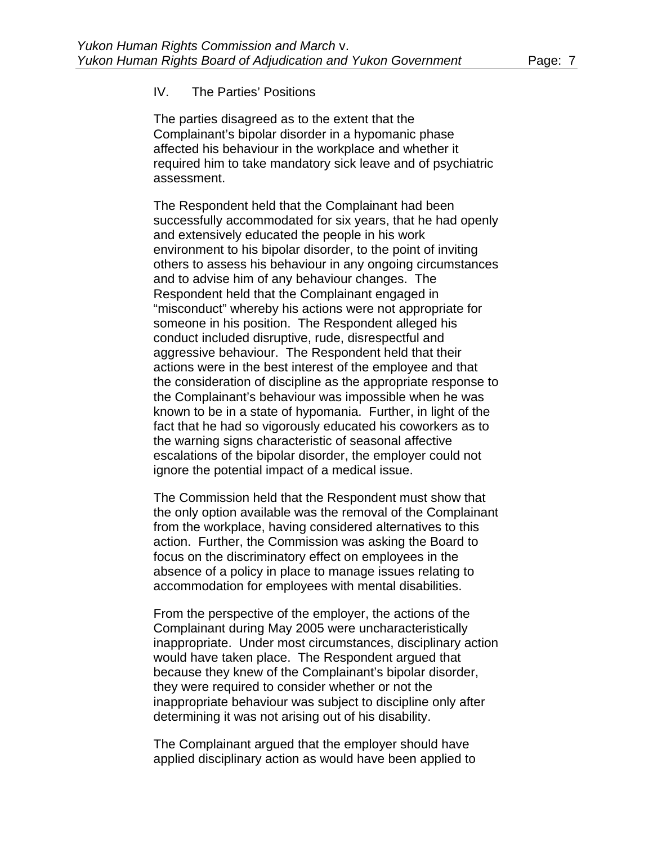### IV. The Parties' Positions

The parties disagreed as to the extent that the Complainant's bipolar disorder in a hypomanic phase affected his behaviour in the workplace and whether it required him to take mandatory sick leave and of psychiatric assessment.

The Respondent held that the Complainant had been successfully accommodated for six years, that he had openly and extensively educated the people in his work environment to his bipolar disorder, to the point of inviting others to assess his behaviour in any ongoing circumstances and to advise him of any behaviour changes. The Respondent held that the Complainant engaged in "misconduct" whereby his actions were not appropriate for someone in his position. The Respondent alleged his conduct included disruptive, rude, disrespectful and aggressive behaviour. The Respondent held that their actions were in the best interest of the employee and that the consideration of discipline as the appropriate response to the Complainant's behaviour was impossible when he was known to be in a state of hypomania. Further, in light of the fact that he had so vigorously educated his coworkers as to the warning signs characteristic of seasonal affective escalations of the bipolar disorder, the employer could not ignore the potential impact of a medical issue.

The Commission held that the Respondent must show that the only option available was the removal of the Complainant from the workplace, having considered alternatives to this action. Further, the Commission was asking the Board to focus on the discriminatory effect on employees in the absence of a policy in place to manage issues relating to accommodation for employees with mental disabilities.

From the perspective of the employer, the actions of the Complainant during May 2005 were uncharacteristically inappropriate. Under most circumstances, disciplinary action would have taken place. The Respondent argued that because they knew of the Complainant's bipolar disorder, they were required to consider whether or not the inappropriate behaviour was subject to discipline only after determining it was not arising out of his disability.

The Complainant argued that the employer should have applied disciplinary action as would have been applied to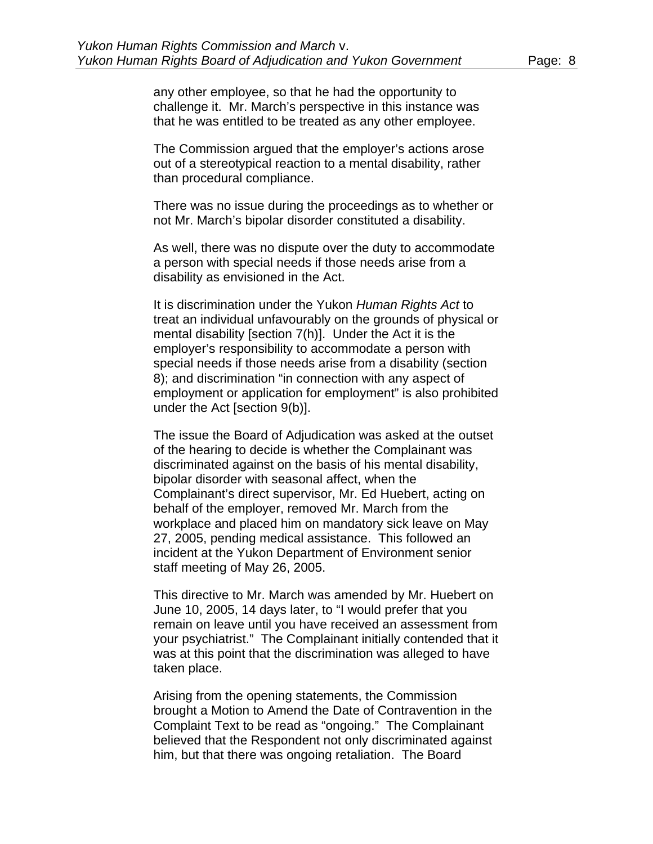any other employee, so that he had the opportunity to challenge it. Mr. March's perspective in this instance was that he was entitled to be treated as any other employee.

The Commission argued that the employer's actions arose out of a stereotypical reaction to a mental disability, rather than procedural compliance.

There was no issue during the proceedings as to whether or not Mr. March's bipolar disorder constituted a disability.

As well, there was no dispute over the duty to accommodate a person with special needs if those needs arise from a disability as envisioned in the Act.

It is discrimination under the Yukon *Human Rights Act* to treat an individual unfavourably on the grounds of physical or mental disability [section 7(h)]. Under the Act it is the employer's responsibility to accommodate a person with special needs if those needs arise from a disability (section 8); and discrimination "in connection with any aspect of employment or application for employment" is also prohibited under the Act [section 9(b)].

The issue the Board of Adjudication was asked at the outset of the hearing to decide is whether the Complainant was discriminated against on the basis of his mental disability, bipolar disorder with seasonal affect, when the Complainant's direct supervisor, Mr. Ed Huebert, acting on behalf of the employer, removed Mr. March from the workplace and placed him on mandatory sick leave on May 27, 2005, pending medical assistance. This followed an incident at the Yukon Department of Environment senior staff meeting of May 26, 2005.

This directive to Mr. March was amended by Mr. Huebert on June 10, 2005, 14 days later, to "I would prefer that you remain on leave until you have received an assessment from your psychiatrist." The Complainant initially contended that it was at this point that the discrimination was alleged to have taken place.

Arising from the opening statements, the Commission brought a Motion to Amend the Date of Contravention in the Complaint Text to be read as "ongoing." The Complainant believed that the Respondent not only discriminated against him, but that there was ongoing retaliation. The Board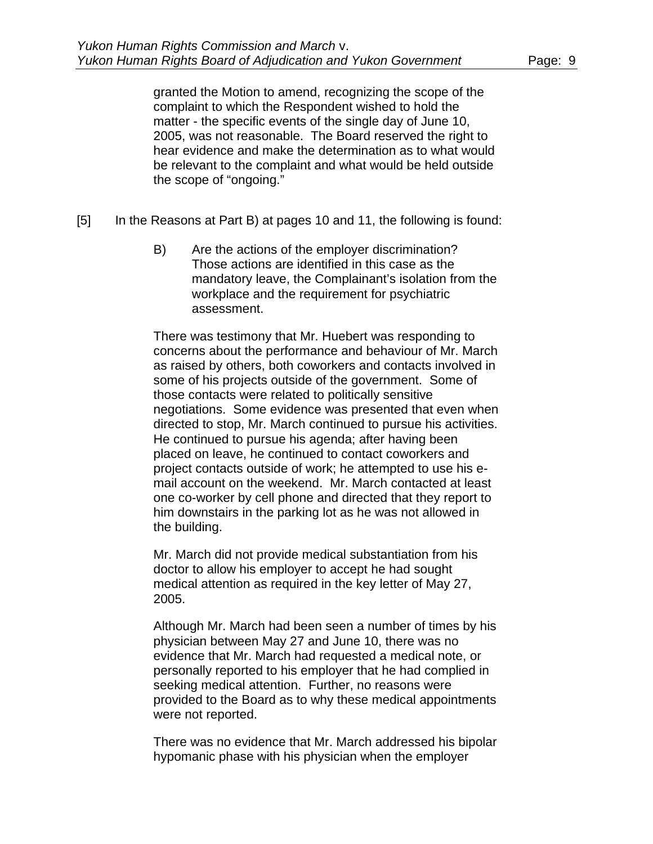granted the Motion to amend, recognizing the scope of the complaint to which the Respondent wished to hold the matter - the specific events of the single day of June 10, 2005, was not reasonable. The Board reserved the right to hear evidence and make the determination as to what would be relevant to the complaint and what would be held outside the scope of "ongoing."

- [5] In the Reasons at Part B) at pages 10 and 11, the following is found:
	- B) Are the actions of the employer discrimination? Those actions are identified in this case as the mandatory leave, the Complainant's isolation from the workplace and the requirement for psychiatric assessment.

There was testimony that Mr. Huebert was responding to concerns about the performance and behaviour of Mr. March as raised by others, both coworkers and contacts involved in some of his projects outside of the government. Some of those contacts were related to politically sensitive negotiations. Some evidence was presented that even when directed to stop, Mr. March continued to pursue his activities. He continued to pursue his agenda; after having been placed on leave, he continued to contact coworkers and project contacts outside of work; he attempted to use his email account on the weekend. Mr. March contacted at least one co-worker by cell phone and directed that they report to him downstairs in the parking lot as he was not allowed in the building.

Mr. March did not provide medical substantiation from his doctor to allow his employer to accept he had sought medical attention as required in the key letter of May 27, 2005.

Although Mr. March had been seen a number of times by his physician between May 27 and June 10, there was no evidence that Mr. March had requested a medical note, or personally reported to his employer that he had complied in seeking medical attention. Further, no reasons were provided to the Board as to why these medical appointments were not reported.

There was no evidence that Mr. March addressed his bipolar hypomanic phase with his physician when the employer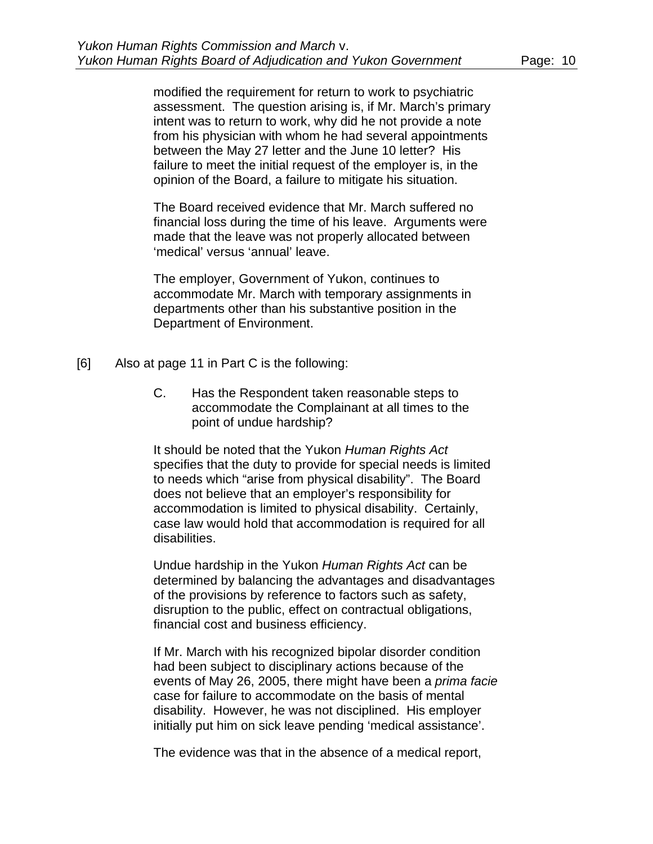modified the requirement for return to work to psychiatric assessment. The question arising is, if Mr. March's primary intent was to return to work, why did he not provide a note from his physician with whom he had several appointments between the May 27 letter and the June 10 letter? His failure to meet the initial request of the employer is, in the opinion of the Board, a failure to mitigate his situation.

The Board received evidence that Mr. March suffered no financial loss during the time of his leave. Arguments were made that the leave was not properly allocated between 'medical' versus 'annual' leave.

The employer, Government of Yukon, continues to accommodate Mr. March with temporary assignments in departments other than his substantive position in the Department of Environment.

- [6] Also at page 11 in Part C is the following:
	- C. Has the Respondent taken reasonable steps to accommodate the Complainant at all times to the point of undue hardship?

It should be noted that the Yukon *Human Rights Act* specifies that the duty to provide for special needs is limited to needs which "arise from physical disability". The Board does not believe that an employer's responsibility for accommodation is limited to physical disability. Certainly, case law would hold that accommodation is required for all disabilities.

Undue hardship in the Yukon *Human Rights Act* can be determined by balancing the advantages and disadvantages of the provisions by reference to factors such as safety, disruption to the public, effect on contractual obligations, financial cost and business efficiency.

If Mr. March with his recognized bipolar disorder condition had been subject to disciplinary actions because of the events of May 26, 2005, there might have been a *prima facie* case for failure to accommodate on the basis of mental disability. However, he was not disciplined. His employer initially put him on sick leave pending 'medical assistance'.

The evidence was that in the absence of a medical report,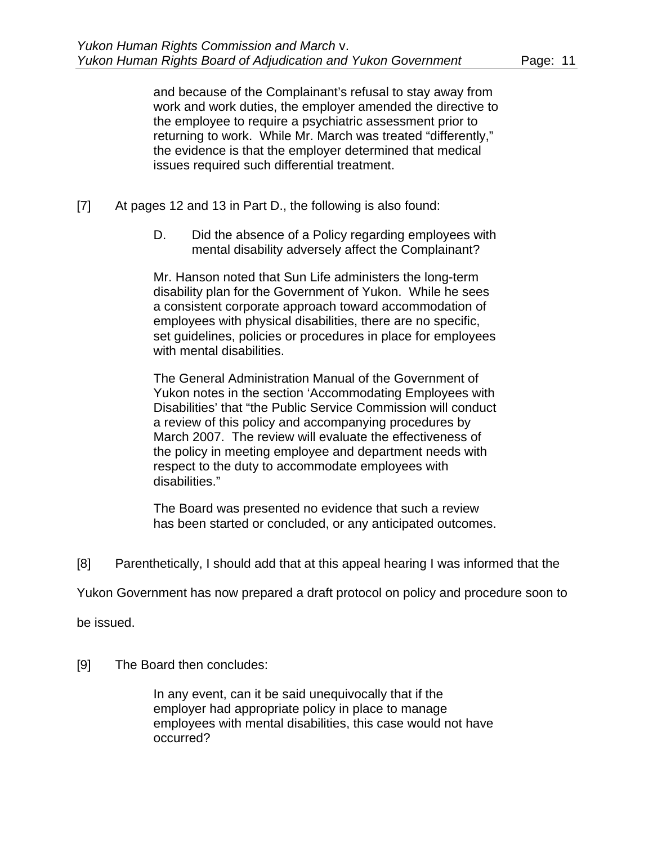and because of the Complainant's refusal to stay away from work and work duties, the employer amended the directive to the employee to require a psychiatric assessment prior to returning to work. While Mr. March was treated "differently," the evidence is that the employer determined that medical issues required such differential treatment.

- [7] At pages 12 and 13 in Part D., the following is also found:
	- D. Did the absence of a Policy regarding employees with mental disability adversely affect the Complainant?

Mr. Hanson noted that Sun Life administers the long-term disability plan for the Government of Yukon. While he sees a consistent corporate approach toward accommodation of employees with physical disabilities, there are no specific, set guidelines, policies or procedures in place for employees with mental disabilities.

The General Administration Manual of the Government of Yukon notes in the section 'Accommodating Employees with Disabilities' that "the Public Service Commission will conduct a review of this policy and accompanying procedures by March 2007. The review will evaluate the effectiveness of the policy in meeting employee and department needs with respect to the duty to accommodate employees with disabilities."

The Board was presented no evidence that such a review has been started or concluded, or any anticipated outcomes.

[8] Parenthetically, I should add that at this appeal hearing I was informed that the

Yukon Government has now prepared a draft protocol on policy and procedure soon to

be issued.

[9] The Board then concludes:

In any event, can it be said unequivocally that if the employer had appropriate policy in place to manage employees with mental disabilities, this case would not have occurred?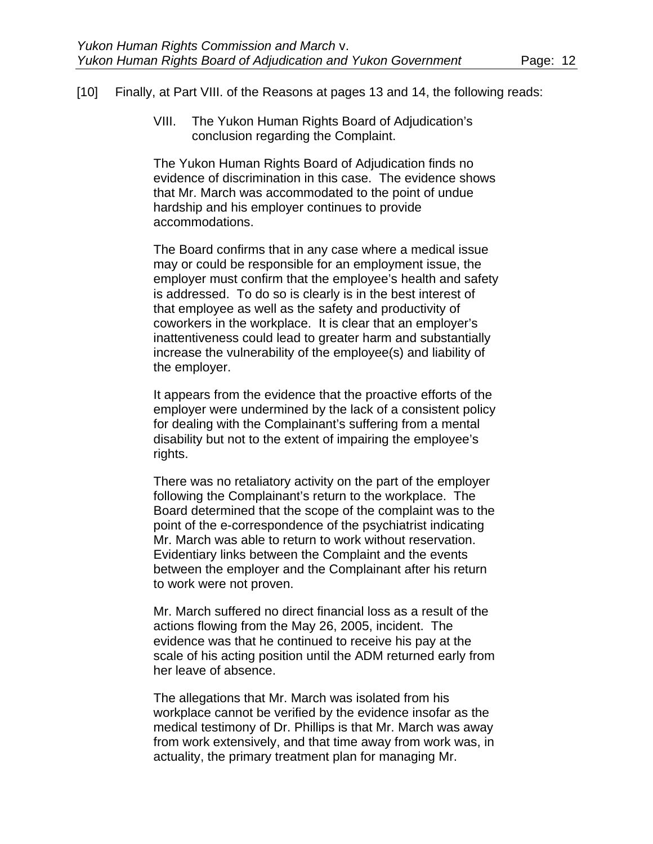#### [10] Finally, at Part VIII. of the Reasons at pages 13 and 14, the following reads:

VIII. The Yukon Human Rights Board of Adjudication's conclusion regarding the Complaint.

The Yukon Human Rights Board of Adjudication finds no evidence of discrimination in this case. The evidence shows that Mr. March was accommodated to the point of undue hardship and his employer continues to provide accommodations.

The Board confirms that in any case where a medical issue may or could be responsible for an employment issue, the employer must confirm that the employee's health and safety is addressed. To do so is clearly is in the best interest of that employee as well as the safety and productivity of coworkers in the workplace. It is clear that an employer's inattentiveness could lead to greater harm and substantially increase the vulnerability of the employee(s) and liability of the employer.

It appears from the evidence that the proactive efforts of the employer were undermined by the lack of a consistent policy for dealing with the Complainant's suffering from a mental disability but not to the extent of impairing the employee's rights.

There was no retaliatory activity on the part of the employer following the Complainant's return to the workplace. The Board determined that the scope of the complaint was to the point of the e-correspondence of the psychiatrist indicating Mr. March was able to return to work without reservation. Evidentiary links between the Complaint and the events between the employer and the Complainant after his return to work were not proven.

Mr. March suffered no direct financial loss as a result of the actions flowing from the May 26, 2005, incident. The evidence was that he continued to receive his pay at the scale of his acting position until the ADM returned early from her leave of absence.

The allegations that Mr. March was isolated from his workplace cannot be verified by the evidence insofar as the medical testimony of Dr. Phillips is that Mr. March was away from work extensively, and that time away from work was, in actuality, the primary treatment plan for managing Mr.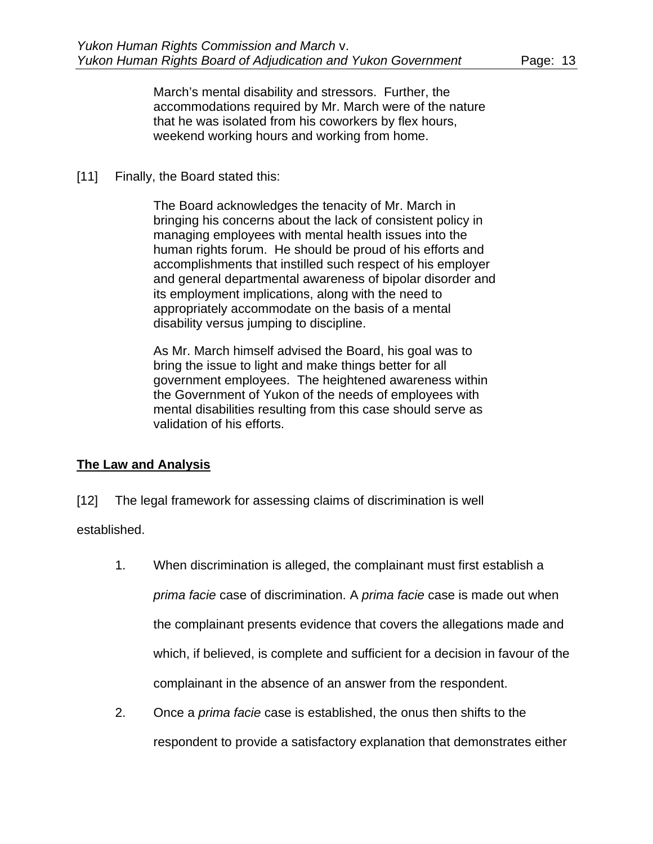March's mental disability and stressors. Further, the accommodations required by Mr. March were of the nature that he was isolated from his coworkers by flex hours, weekend working hours and working from home.

### [11] Finally, the Board stated this:

The Board acknowledges the tenacity of Mr. March in bringing his concerns about the lack of consistent policy in managing employees with mental health issues into the human rights forum. He should be proud of his efforts and accomplishments that instilled such respect of his employer and general departmental awareness of bipolar disorder and its employment implications, along with the need to appropriately accommodate on the basis of a mental disability versus jumping to discipline.

As Mr. March himself advised the Board, his goal was to bring the issue to light and make things better for all government employees. The heightened awareness within the Government of Yukon of the needs of employees with mental disabilities resulting from this case should serve as validation of his efforts.

## **The Law and Analysis**

[12] The legal framework for assessing claims of discrimination is well

established.

- 1. When discrimination is alleged, the complainant must first establish a *prima facie* case of discrimination. A *prima facie* case is made out when the complainant presents evidence that covers the allegations made and which, if believed, is complete and sufficient for a decision in favour of the complainant in the absence of an answer from the respondent.
- 2. Once a *prima facie* case is established, the onus then shifts to the respondent to provide a satisfactory explanation that demonstrates either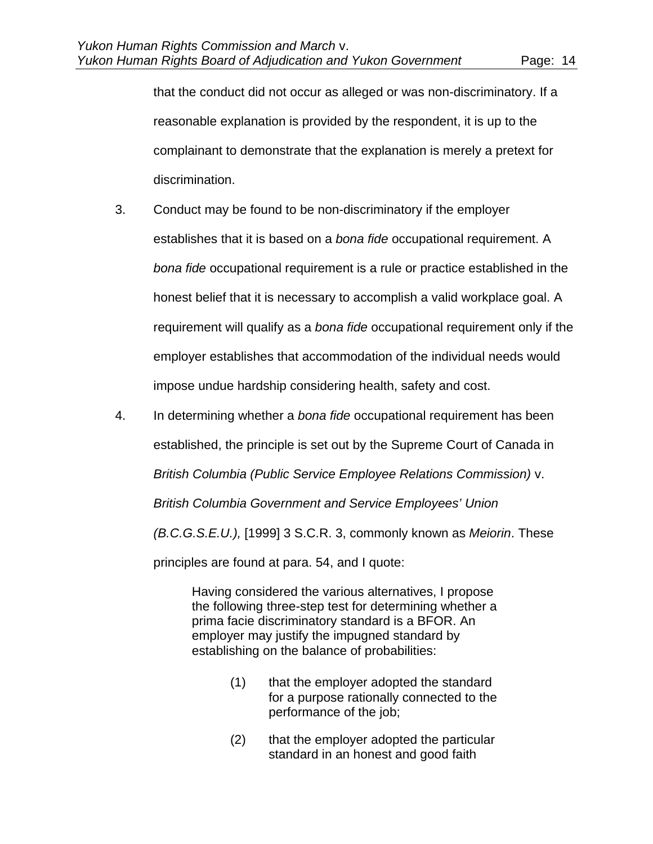that the conduct did not occur as alleged or was non-discriminatory. If a reasonable explanation is provided by the respondent, it is up to the complainant to demonstrate that the explanation is merely a pretext for discrimination.

- 3. Conduct may be found to be non-discriminatory if the employer establishes that it is based on a *bona fide* occupational requirement. A *bona fide* occupational requirement is a rule or practice established in the honest belief that it is necessary to accomplish a valid workplace goal. A requirement will qualify as a *bona fide* occupational requirement only if the employer establishes that accommodation of the individual needs would impose undue hardship considering health, safety and cost.
- 4. In determining whether a *bona fide* occupational requirement has been established, the principle is set out by the Supreme Court of Canada in *British Columbia (Public Service Employee Relations Commission)* v. *British Columbia Government and Service Employees' Union (B.C.G.S.E.U.),* [1999] 3 S.C.R. 3, commonly known as *Meiorin*. These principles are found at para. 54, and I quote:

Having considered the various alternatives, I propose the following three-step test for determining whether a prima facie discriminatory standard is a BFOR. An employer may justify the impugned standard by establishing on the balance of probabilities:

- (1) that the employer adopted the standard for a purpose rationally connected to the performance of the job;
- (2) that the employer adopted the particular standard in an honest and good faith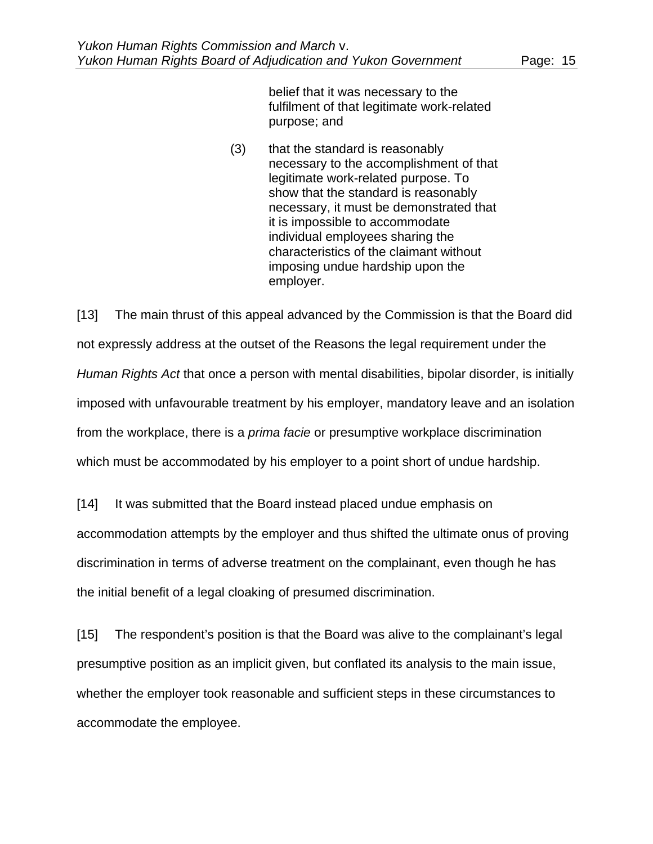belief that it was necessary to the fulfilment of that legitimate work-related purpose; and

(3) that the standard is reasonably necessary to the accomplishment of that legitimate work-related purpose. To show that the standard is reasonably necessary, it must be demonstrated that it is impossible to accommodate individual employees sharing the characteristics of the claimant without imposing undue hardship upon the employer.

[13] The main thrust of this appeal advanced by the Commission is that the Board did not expressly address at the outset of the Reasons the legal requirement under the *Human Rights Act* that once a person with mental disabilities, bipolar disorder, is initially imposed with unfavourable treatment by his employer, mandatory leave and an isolation from the workplace, there is a *prima facie* or presumptive workplace discrimination which must be accommodated by his employer to a point short of undue hardship.

[14] It was submitted that the Board instead placed undue emphasis on accommodation attempts by the employer and thus shifted the ultimate onus of proving discrimination in terms of adverse treatment on the complainant, even though he has the initial benefit of a legal cloaking of presumed discrimination.

[15] The respondent's position is that the Board was alive to the complainant's legal presumptive position as an implicit given, but conflated its analysis to the main issue, whether the employer took reasonable and sufficient steps in these circumstances to accommodate the employee.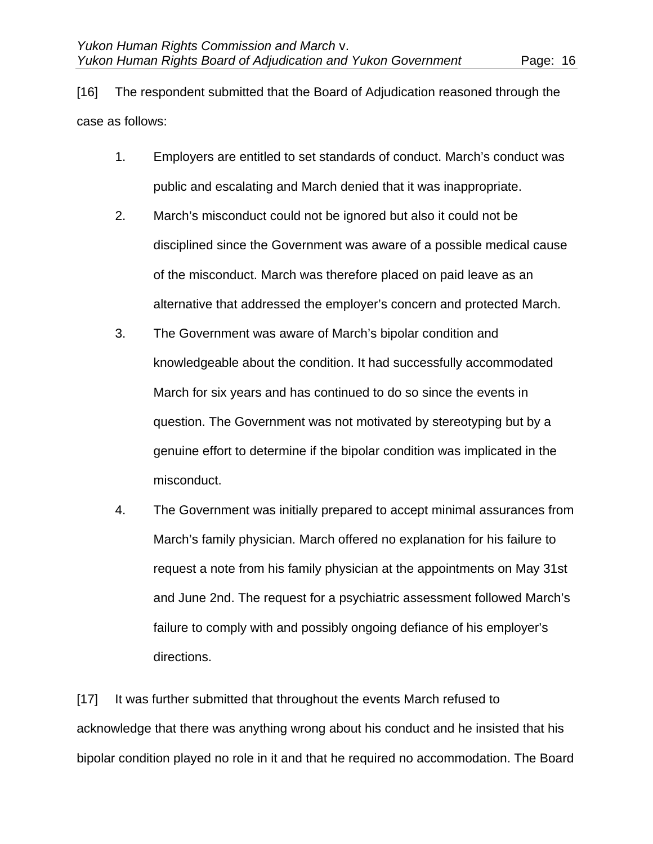[16] The respondent submitted that the Board of Adjudication reasoned through the case as follows:

- 1. Employers are entitled to set standards of conduct. March's conduct was public and escalating and March denied that it was inappropriate.
- 2. March's misconduct could not be ignored but also it could not be disciplined since the Government was aware of a possible medical cause of the misconduct. March was therefore placed on paid leave as an alternative that addressed the employer's concern and protected March.
- 3. The Government was aware of March's bipolar condition and knowledgeable about the condition. It had successfully accommodated March for six years and has continued to do so since the events in question. The Government was not motivated by stereotyping but by a genuine effort to determine if the bipolar condition was implicated in the misconduct.
- 4. The Government was initially prepared to accept minimal assurances from March's family physician. March offered no explanation for his failure to request a note from his family physician at the appointments on May 31st and June 2nd. The request for a psychiatric assessment followed March's failure to comply with and possibly ongoing defiance of his employer's directions.

[17] It was further submitted that throughout the events March refused to acknowledge that there was anything wrong about his conduct and he insisted that his bipolar condition played no role in it and that he required no accommodation. The Board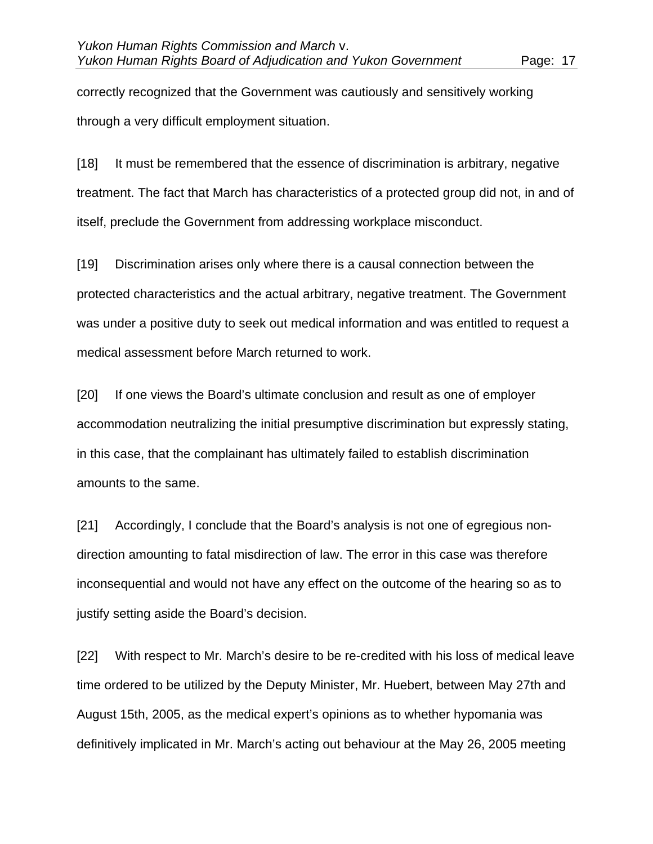correctly recognized that the Government was cautiously and sensitively working through a very difficult employment situation.

[18] It must be remembered that the essence of discrimination is arbitrary, negative treatment. The fact that March has characteristics of a protected group did not, in and of itself, preclude the Government from addressing workplace misconduct.

[19] Discrimination arises only where there is a causal connection between the protected characteristics and the actual arbitrary, negative treatment. The Government was under a positive duty to seek out medical information and was entitled to request a medical assessment before March returned to work.

[20] If one views the Board's ultimate conclusion and result as one of employer accommodation neutralizing the initial presumptive discrimination but expressly stating, in this case, that the complainant has ultimately failed to establish discrimination amounts to the same.

[21] Accordingly, I conclude that the Board's analysis is not one of egregious nondirection amounting to fatal misdirection of law. The error in this case was therefore inconsequential and would not have any effect on the outcome of the hearing so as to justify setting aside the Board's decision.

[22] With respect to Mr. March's desire to be re-credited with his loss of medical leave time ordered to be utilized by the Deputy Minister, Mr. Huebert, between May 27th and August 15th, 2005, as the medical expert's opinions as to whether hypomania was definitively implicated in Mr. March's acting out behaviour at the May 26, 2005 meeting